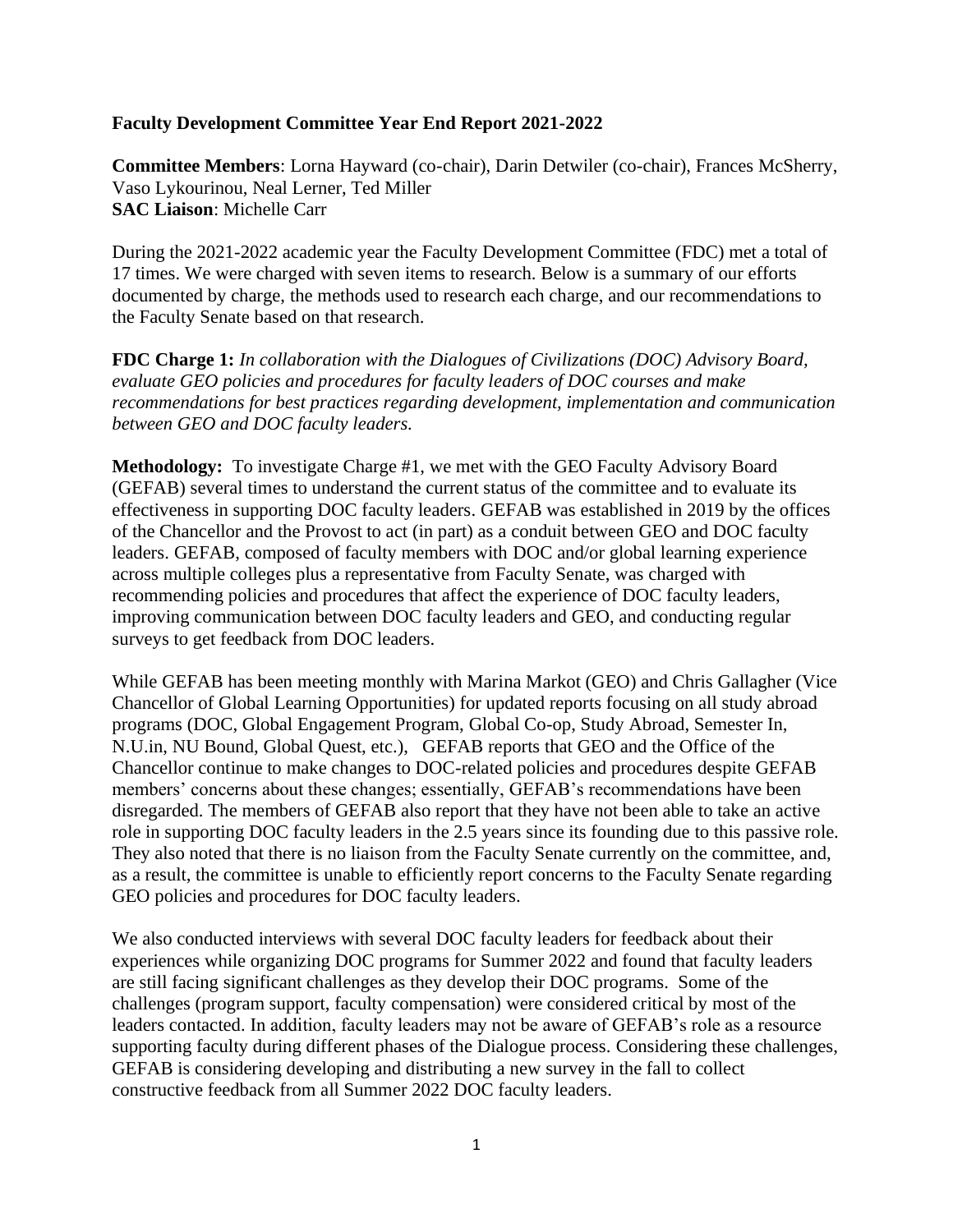#### **Faculty Development Committee Year End Report 2021-2022**

**Committee Members**: Lorna Hayward (co-chair), Darin Detwiler (co-chair), Frances McSherry, Vaso Lykourinou, Neal Lerner, Ted Miller **SAC Liaison**: Michelle Carr

During the 2021-2022 academic year the Faculty Development Committee (FDC) met a total of 17 times. We were charged with seven items to research. Below is a summary of our efforts documented by charge, the methods used to research each charge, and our recommendations to the Faculty Senate based on that research.

**FDC Charge 1:** *In collaboration with the Dialogues of Civilizations (DOC) Advisory Board, evaluate GEO policies and procedures for faculty leaders of DOC courses and make recommendations for best practices regarding development, implementation and communication between GEO and DOC faculty leaders.*

**Methodology:** To investigate Charge #1, we met with the GEO Faculty Advisory Board (GEFAB) several times to understand the current status of the committee and to evaluate its effectiveness in supporting DOC faculty leaders. GEFAB was established in 2019 by the offices of the Chancellor and the Provost to act (in part) as a conduit between GEO and DOC faculty leaders. GEFAB, composed of faculty members with DOC and/or global learning experience across multiple colleges plus a representative from Faculty Senate, was charged with recommending policies and procedures that affect the experience of DOC faculty leaders, improving communication between DOC faculty leaders and GEO, and conducting regular surveys to get feedback from DOC leaders.

While GEFAB has been meeting monthly with Marina Markot (GEO) and Chris Gallagher (Vice Chancellor of Global Learning Opportunities) for updated reports focusing on all study abroad programs (DOC, Global Engagement Program, Global Co-op, Study Abroad, Semester In, N.U.in, NU Bound, Global Quest, etc.), GEFAB reports that GEO and the Office of the Chancellor continue to make changes to DOC-related policies and procedures despite GEFAB members' concerns about these changes; essentially, GEFAB's recommendations have been disregarded. The members of GEFAB also report that they have not been able to take an active role in supporting DOC faculty leaders in the 2.5 years since its founding due to this passive role. They also noted that there is no liaison from the Faculty Senate currently on the committee, and, as a result, the committee is unable to efficiently report concerns to the Faculty Senate regarding GEO policies and procedures for DOC faculty leaders.

We also conducted interviews with several DOC faculty leaders for feedback about their experiences while organizing DOC programs for Summer 2022 and found that faculty leaders are still facing significant challenges as they develop their DOC programs. Some of the challenges (program support, faculty compensation) were considered critical by most of the leaders contacted. In addition, faculty leaders may not be aware of GEFAB's role as a resource supporting faculty during different phases of the Dialogue process. Considering these challenges, GEFAB is considering developing and distributing a new survey in the fall to collect constructive feedback from all Summer 2022 DOC faculty leaders.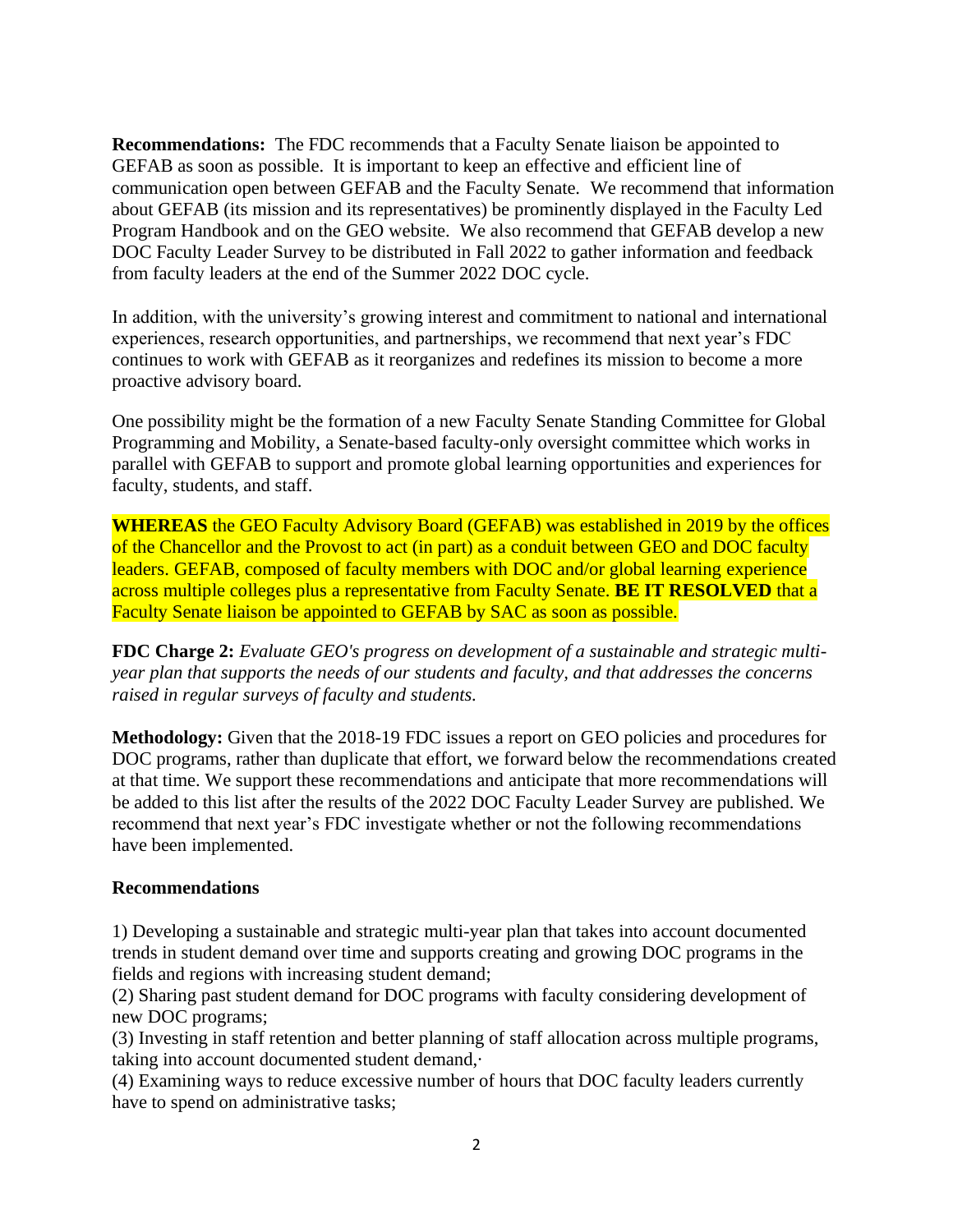**Recommendations:** The FDC recommends that a Faculty Senate liaison be appointed to GEFAB as soon as possible. It is important to keep an effective and efficient line of communication open between GEFAB and the Faculty Senate. We recommend that information about GEFAB (its mission and its representatives) be prominently displayed in the Faculty Led Program Handbook and on the GEO website. We also recommend that GEFAB develop a new DOC Faculty Leader Survey to be distributed in Fall 2022 to gather information and feedback from faculty leaders at the end of the Summer 2022 DOC cycle.

In addition, with the university's growing interest and commitment to national and international experiences, research opportunities, and partnerships, we recommend that next year's FDC continues to work with GEFAB as it reorganizes and redefines its mission to become a more proactive advisory board.

One possibility might be the formation of a new Faculty Senate Standing Committee for Global Programming and Mobility, a Senate-based faculty-only oversight committee which works in parallel with GEFAB to support and promote global learning opportunities and experiences for faculty, students, and staff.

**WHEREAS** the GEO Faculty Advisory Board (GEFAB) was established in 2019 by the offices of the Chancellor and the Provost to act (in part) as a conduit between GEO and DOC faculty leaders. GEFAB, composed of faculty members with DOC and/or global learning experience across multiple colleges plus a representative from Faculty Senate. **BE IT RESOLVED** that a Faculty Senate liaison be appointed to GEFAB by SAC as soon as possible.

**FDC Charge 2:** *Evaluate GEO's progress on development of a sustainable and strategic multiyear plan that supports the needs of our students and faculty, and that addresses the concerns raised in regular surveys of faculty and students.*

**Methodology:** Given that the 2018-19 FDC issues a report on GEO policies and procedures for DOC programs, rather than duplicate that effort, we forward below the recommendations created at that time. We support these recommendations and anticipate that more recommendations will be added to this list after the results of the 2022 DOC Faculty Leader Survey are published. We recommend that next year's FDC investigate whether or not the following recommendations have been implemented.

#### **Recommendations**

1) Developing a sustainable and strategic multi-year plan that takes into account documented trends in student demand over time and supports creating and growing DOC programs in the fields and regions with increasing student demand;

(2) Sharing past student demand for DOC programs with faculty considering development of new DOC programs;

(3) Investing in staff retention and better planning of staff allocation across multiple programs, taking into account documented student demand,·

(4) Examining ways to reduce excessive number of hours that DOC faculty leaders currently have to spend on administrative tasks;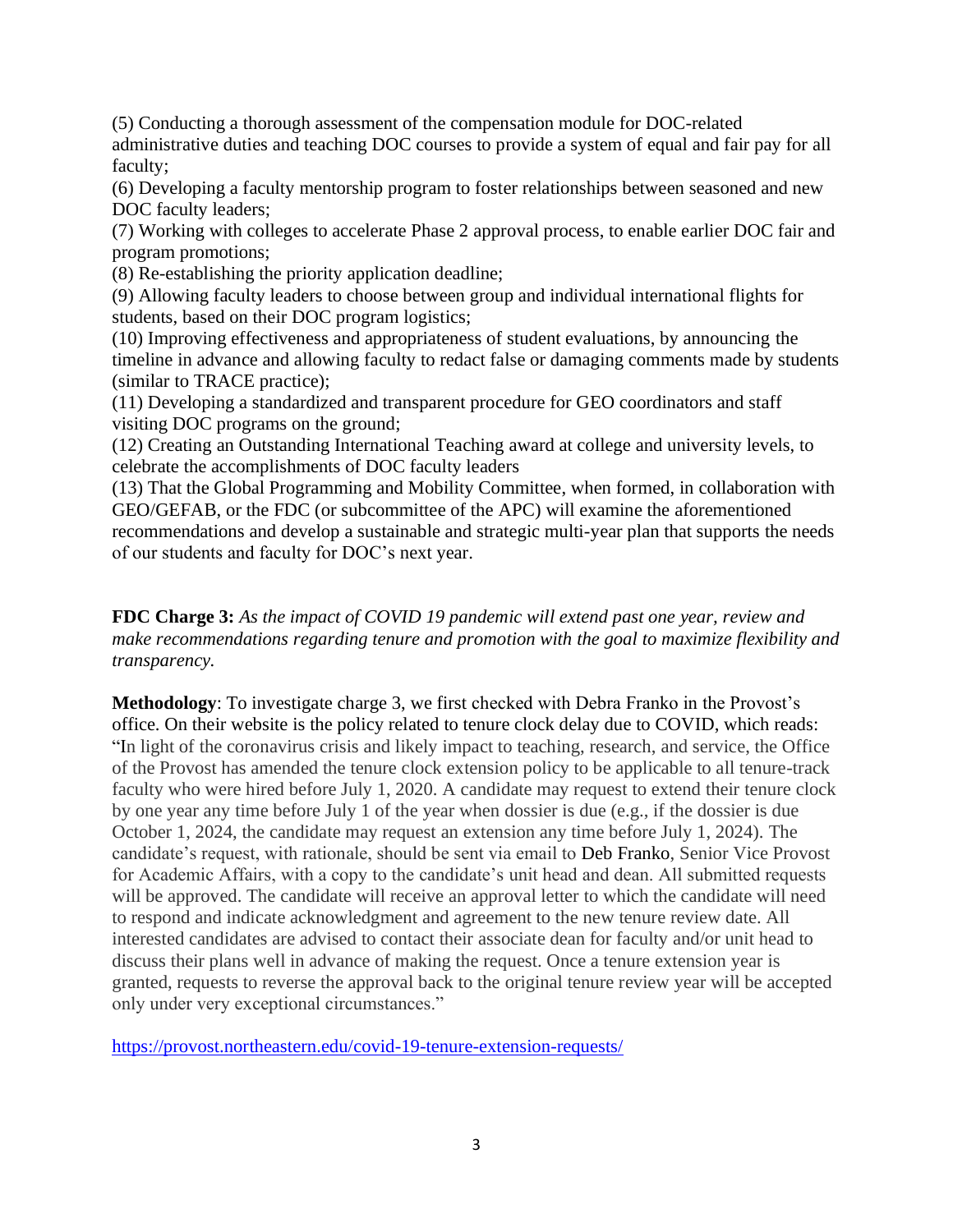(5) Conducting a thorough assessment of the compensation module for DOC-related administrative duties and teaching DOC courses to provide a system of equal and fair pay for all faculty;

(6) Developing a faculty mentorship program to foster relationships between seasoned and new DOC faculty leaders;

(7) Working with colleges to accelerate Phase 2 approval process, to enable earlier DOC fair and program promotions;

(8) Re-establishing the priority application deadline;

(9) Allowing faculty leaders to choose between group and individual international flights for students, based on their DOC program logistics;

(10) Improving effectiveness and appropriateness of student evaluations, by announcing the timeline in advance and allowing faculty to redact false or damaging comments made by students (similar to TRACE practice);

(11) Developing a standardized and transparent procedure for GEO coordinators and staff visiting DOC programs on the ground;

(12) Creating an Outstanding International Teaching award at college and university levels, to celebrate the accomplishments of DOC faculty leaders

(13) That the Global Programming and Mobility Committee, when formed, in collaboration with GEO/GEFAB, or the FDC (or subcommittee of the APC) will examine the aforementioned recommendations and develop a sustainable and strategic multi-year plan that supports the needs of our students and faculty for DOC's next year.

# **FDC Charge 3:** *As the impact of COVID 19 pandemic will extend past one year, review and make recommendations regarding tenure and promotion with the goal to maximize flexibility and transparency.*

**Methodology**: To investigate charge 3, we first checked with Debra Franko in the Provost's office. On their website is the policy related to tenure clock delay due to COVID, which reads: "In light of the coronavirus crisis and likely impact to teaching, research, and service, the Office of the Provost has amended the tenure clock extension policy to be applicable to all tenure-track faculty who were hired before July 1, 2020. A candidate may request to extend their tenure clock by one year any time before July 1 of the year when dossier is due (e.g., if the dossier is due October 1, 2024, the candidate may request an extension any time before July 1, 2024). The candidate's request, with rationale, should be sent via email to [Deb Franko,](mailto:franko@northeastern.edu) Senior Vice Provost for Academic Affairs, with a copy to the candidate's unit head and dean. All submitted requests will be approved. The candidate will receive an approval letter to which the candidate will need to respond and indicate acknowledgment and agreement to the new tenure review date. All interested candidates are advised to contact their associate dean for faculty and/or unit head to discuss their plans well in advance of making the request. Once a tenure extension year is granted, requests to reverse the approval back to the original tenure review year will be accepted only under very exceptional circumstances."

<https://provost.northeastern.edu/covid-19-tenure-extension-requests/>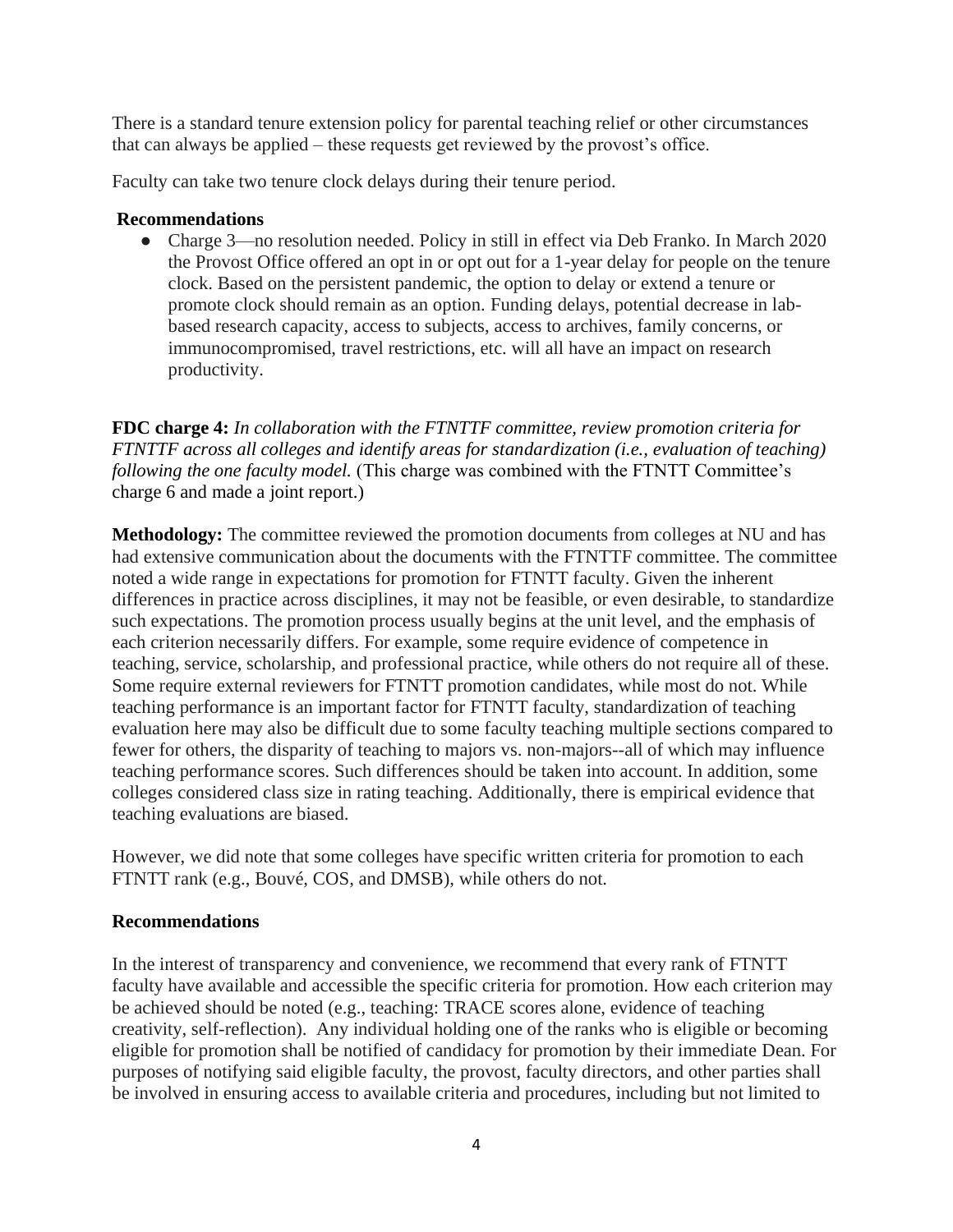There is a standard tenure extension policy for parental teaching relief or other circumstances that can always be applied – these requests get reviewed by the provost's office.

Faculty can take two tenure clock delays during their tenure period.

#### **Recommendations**

• Charge 3—no resolution needed. Policy in still in effect via Deb Franko. In March 2020 the Provost Office offered an opt in or opt out for a 1-year delay for people on the tenure clock. Based on the persistent pandemic, the option to delay or extend a tenure or promote clock should remain as an option. Funding delays, potential decrease in labbased research capacity, access to subjects, access to archives, family concerns, or immunocompromised, travel restrictions, etc. will all have an impact on research productivity.

**FDC charge 4:** *In collaboration with the FTNTTF committee, review promotion criteria for FTNTTF across all colleges and identify areas for standardization (i.e., evaluation of teaching) following the one faculty model.* (This charge was combined with the FTNTT Committee's charge 6 and made a joint report.)

**Methodology:** The committee reviewed the promotion documents from colleges at NU and has had extensive communication about the documents with the FTNTTF committee. The committee noted a wide range in expectations for promotion for FTNTT faculty. Given the inherent differences in practice across disciplines, it may not be feasible, or even desirable, to standardize such expectations. The promotion process usually begins at the unit level, and the emphasis of each criterion necessarily differs. For example, some require evidence of competence in teaching, service, scholarship, and professional practice, while others do not require all of these. Some require external reviewers for FTNTT promotion candidates, while most do not. While teaching performance is an important factor for FTNTT faculty, standardization of teaching evaluation here may also be difficult due to some faculty teaching multiple sections compared to fewer for others, the disparity of teaching to majors vs. non-majors--all of which may influence teaching performance scores. Such differences should be taken into account. In addition, some colleges considered class size in rating teaching. Additionally, there is empirical evidence that teaching evaluations are biased.

However, we did note that some colleges have specific written criteria for promotion to each FTNTT rank (e.g., Bouvé, COS, and DMSB), while others do not.

#### **Recommendations**

In the interest of transparency and convenience, we recommend that every rank of FTNTT faculty have available and accessible the specific criteria for promotion. How each criterion may be achieved should be noted (e.g., teaching: TRACE scores alone, evidence of teaching creativity, self-reflection). Any individual holding one of the ranks who is eligible or becoming eligible for promotion shall be notified of candidacy for promotion by their immediate Dean. For purposes of notifying said eligible faculty, the provost, faculty directors, and other parties shall be involved in ensuring access to available criteria and procedures, including but not limited to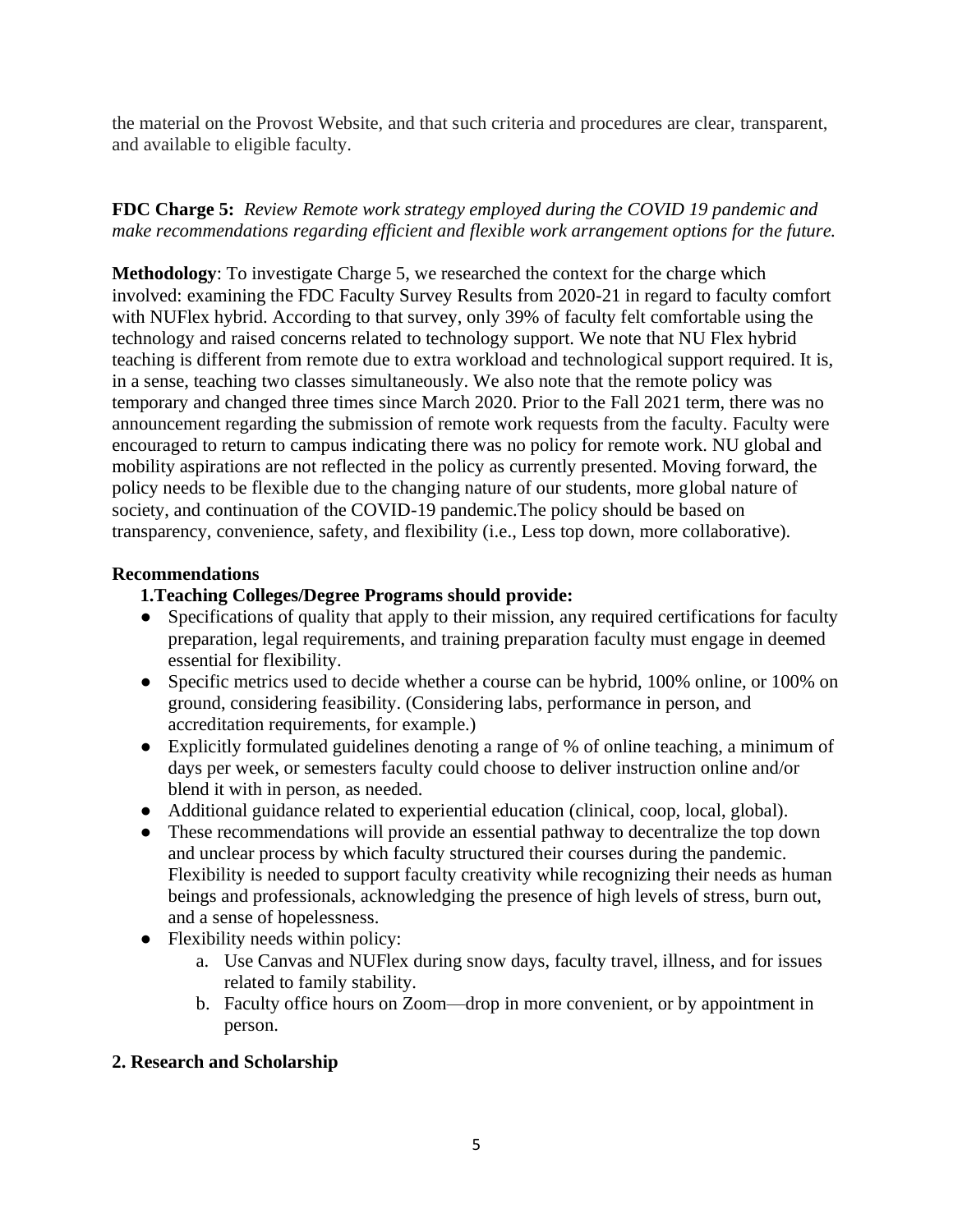the material on the Provost Website, and that such criteria and procedures are clear, transparent, and available to eligible faculty.

# **FDC Charge 5:** *Review Remote work strategy employed during the COVID 19 pandemic and make recommendations regarding efficient and flexible work arrangement options for the future.*

**Methodology**: To investigate Charge 5, we researched the context for the charge which involved: examining the FDC Faculty Survey Results from 2020-21 in regard to faculty comfort with NUFlex hybrid. According to that survey, only 39% of faculty felt comfortable using the technology and raised concerns related to technology support. We note that NU Flex hybrid teaching is different from remote due to extra workload and technological support required. It is, in a sense, teaching two classes simultaneously. We also note that the remote policy was temporary and changed three times since March 2020. Prior to the Fall 2021 term, there was no announcement regarding the submission of remote work requests from the faculty. Faculty were encouraged to return to campus indicating there was no policy for remote work. NU global and mobility aspirations are not reflected in the policy as currently presented. Moving forward, the policy needs to be flexible due to the changing nature of our students, more global nature of society, and continuation of the COVID-19 pandemic.The policy should be based on transparency, convenience, safety, and flexibility (i.e., Less top down, more collaborative).

#### **Recommendations**

# **1.Teaching Colleges/Degree Programs should provide:**

- Specifications of quality that apply to their mission, any required certifications for faculty preparation, legal requirements, and training preparation faculty must engage in deemed essential for flexibility.
- Specific metrics used to decide whether a course can be hybrid, 100% online, or 100% on ground, considering feasibility. (Considering labs, performance in person, and accreditation requirements, for example.)
- Explicitly formulated guidelines denoting a range of % of online teaching, a minimum of days per week, or semesters faculty could choose to deliver instruction online and/or blend it with in person, as needed.
- Additional guidance related to experiential education (clinical, coop, local, global).
- These recommendations will provide an essential pathway to decentralize the top down and unclear process by which faculty structured their courses during the pandemic. Flexibility is needed to support faculty creativity while recognizing their needs as human beings and professionals, acknowledging the presence of high levels of stress, burn out, and a sense of hopelessness.
- Flexibility needs within policy:
	- a. Use Canvas and NUFlex during snow days, faculty travel, illness, and for issues related to family stability.
	- b. Faculty office hours on Zoom—drop in more convenient, or by appointment in person.

# **2. Research and Scholarship**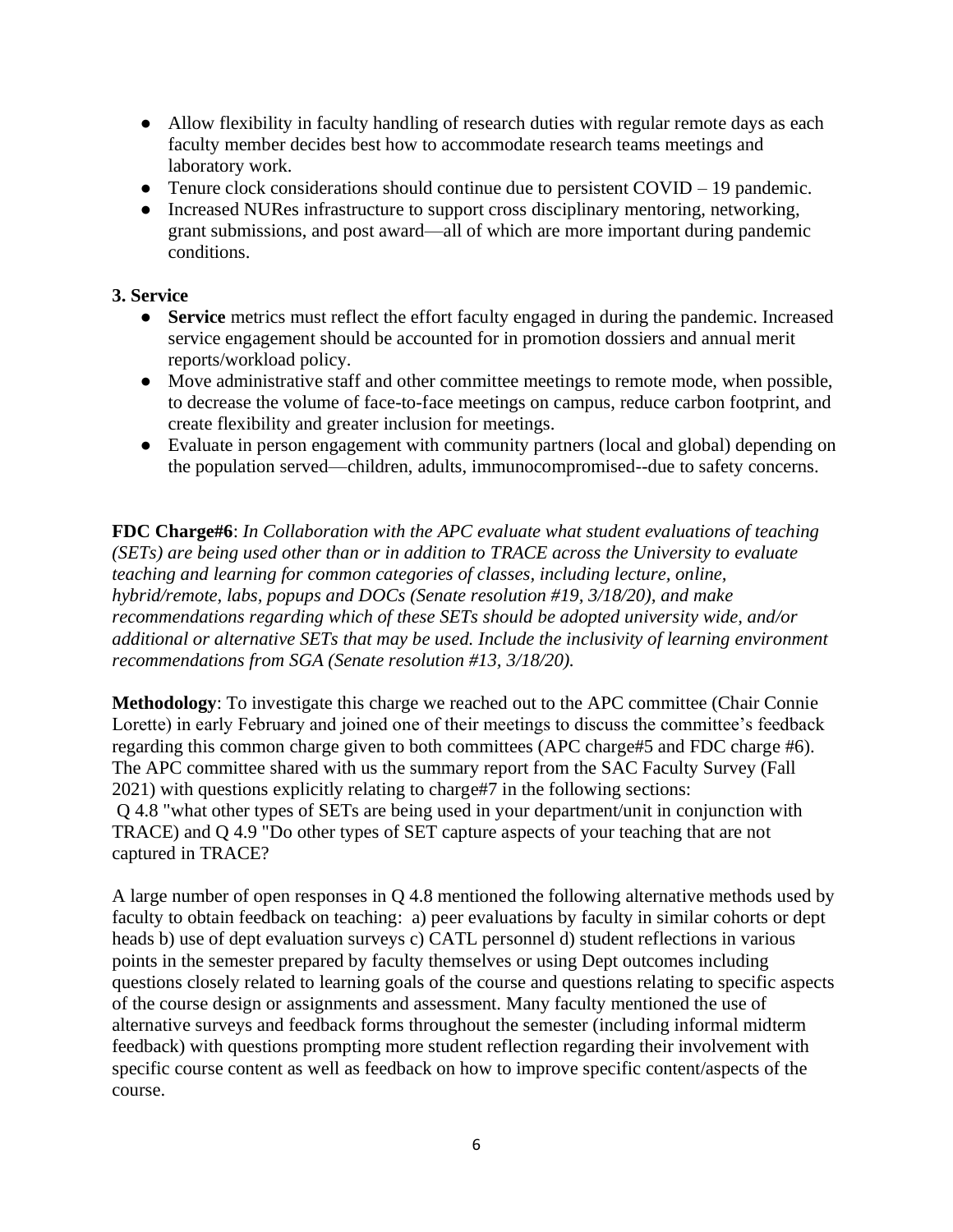- Allow flexibility in faculty handling of research duties with regular remote days as each faculty member decides best how to accommodate research teams meetings and laboratory work.
- Tenure clock considerations should continue due to persistent COVID 19 pandemic.
- Increased NURes infrastructure to support cross disciplinary mentoring, networking, grant submissions, and post award—all of which are more important during pandemic conditions.

# **3. Service**

- **Service** metrics must reflect the effort faculty engaged in during the pandemic. Increased service engagement should be accounted for in promotion dossiers and annual merit reports/workload policy.
- Move administrative staff and other committee meetings to remote mode, when possible, to decrease the volume of face-to-face meetings on campus, reduce carbon footprint, and create flexibility and greater inclusion for meetings.
- Evaluate in person engagement with community partners (local and global) depending on the population served—children, adults, immunocompromised--due to safety concerns.

**FDC Charge#6**: *In Collaboration with the APC evaluate what student evaluations of teaching (SETs) are being used other than or in addition to TRACE across the University to evaluate teaching and learning for common categories of classes, including lecture, online, hybrid/remote, labs, popups and DOCs (Senate resolution #19, 3/18/20), and make recommendations regarding which of these SETs should be adopted university wide, and/or additional or alternative SETs that may be used. Include the inclusivity of learning environment recommendations from SGA (Senate resolution #13, 3/18/20).*

**Methodology**: To investigate this charge we reached out to the APC committee (Chair Connie Lorette) in early February and joined one of their meetings to discuss the committee's feedback regarding this common charge given to both committees (APC charge#5 and FDC charge #6). The APC committee shared with us the summary report from the SAC Faculty Survey (Fall 2021) with questions explicitly relating to charge#7 in the following sections: Q 4.8 "what other types of SETs are being used in your department/unit in conjunction with TRACE) and Q 4.9 "Do other types of SET capture aspects of your teaching that are not captured in TRACE?

A large number of open responses in Q 4.8 mentioned the following alternative methods used by faculty to obtain feedback on teaching: a) peer evaluations by faculty in similar cohorts or dept heads b) use of dept evaluation surveys c) CATL personnel d) student reflections in various points in the semester prepared by faculty themselves or using Dept outcomes including questions closely related to learning goals of the course and questions relating to specific aspects of the course design or assignments and assessment. Many faculty mentioned the use of alternative surveys and feedback forms throughout the semester (including informal midterm feedback) with questions prompting more student reflection regarding their involvement with specific course content as well as feedback on how to improve specific content/aspects of the course.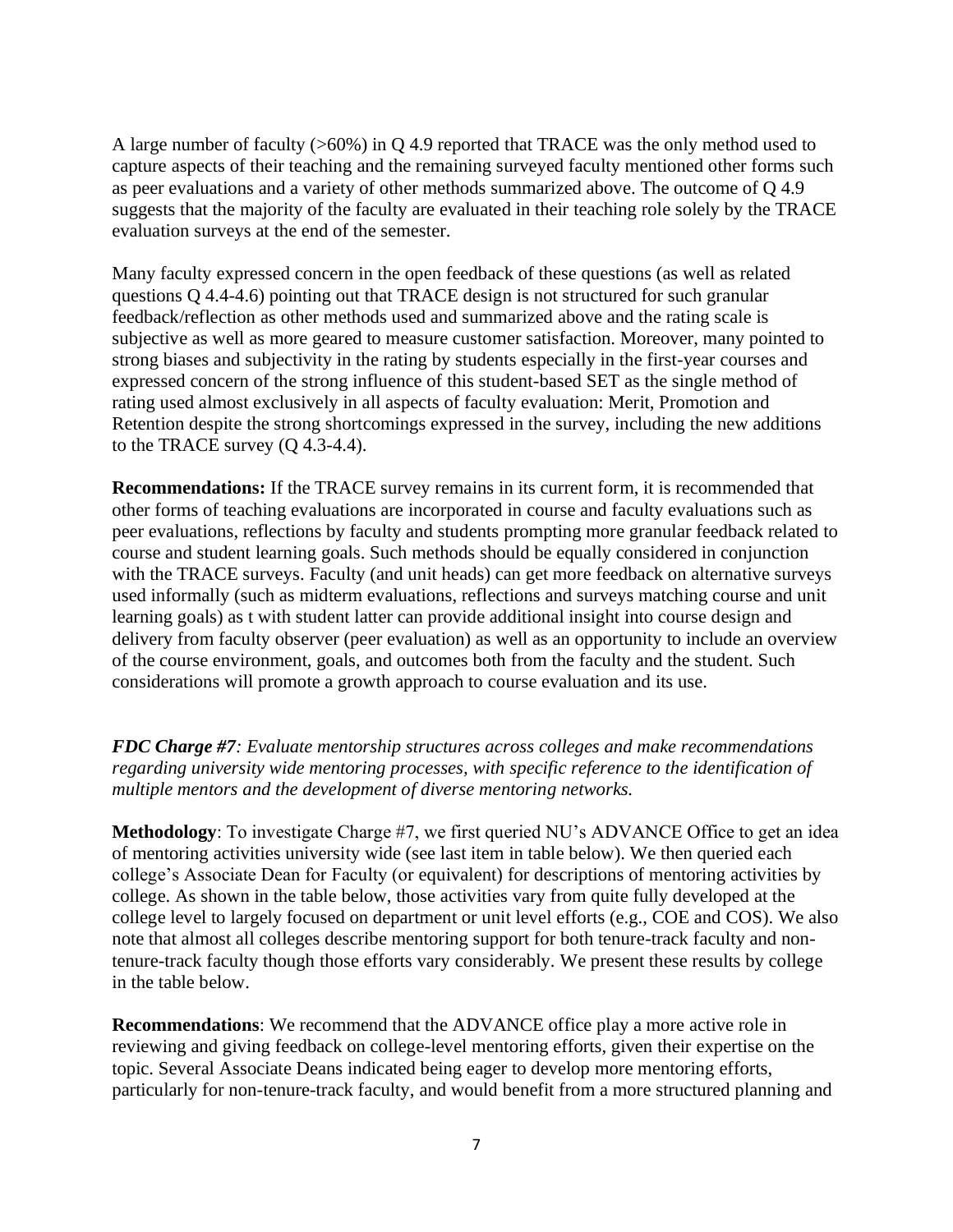A large number of faculty (>60%) in Q 4.9 reported that TRACE was the only method used to capture aspects of their teaching and the remaining surveyed faculty mentioned other forms such as peer evaluations and a variety of other methods summarized above. The outcome of Q 4.9 suggests that the majority of the faculty are evaluated in their teaching role solely by the TRACE evaluation surveys at the end of the semester.

Many faculty expressed concern in the open feedback of these questions (as well as related questions Q 4.4-4.6) pointing out that TRACE design is not structured for such granular feedback/reflection as other methods used and summarized above and the rating scale is subjective as well as more geared to measure customer satisfaction. Moreover, many pointed to strong biases and subjectivity in the rating by students especially in the first-year courses and expressed concern of the strong influence of this student-based SET as the single method of rating used almost exclusively in all aspects of faculty evaluation: Merit, Promotion and Retention despite the strong shortcomings expressed in the survey, including the new additions to the TRACE survey (Q 4.3-4.4).

**Recommendations:** If the TRACE survey remains in its current form, it is recommended that other forms of teaching evaluations are incorporated in course and faculty evaluations such as peer evaluations, reflections by faculty and students prompting more granular feedback related to course and student learning goals. Such methods should be equally considered in conjunction with the TRACE surveys. Faculty (and unit heads) can get more feedback on alternative surveys used informally (such as midterm evaluations, reflections and surveys matching course and unit learning goals) as t with student latter can provide additional insight into course design and delivery from faculty observer (peer evaluation) as well as an opportunity to include an overview of the course environment, goals, and outcomes both from the faculty and the student. Such considerations will promote a growth approach to course evaluation and its use.

*FDC Charge #7: Evaluate mentorship structures across colleges and make recommendations regarding university wide mentoring processes, with specific reference to the identification of multiple mentors and the development of diverse mentoring networks.*

**Methodology**: To investigate Charge #7, we first queried NU's ADVANCE Office to get an idea of mentoring activities university wide (see last item in table below). We then queried each college's Associate Dean for Faculty (or equivalent) for descriptions of mentoring activities by college. As shown in the table below, those activities vary from quite fully developed at the college level to largely focused on department or unit level efforts (e.g., COE and COS). We also note that almost all colleges describe mentoring support for both tenure-track faculty and nontenure-track faculty though those efforts vary considerably. We present these results by college in the table below.

**Recommendations**: We recommend that the ADVANCE office play a more active role in reviewing and giving feedback on college-level mentoring efforts, given their expertise on the topic. Several Associate Deans indicated being eager to develop more mentoring efforts, particularly for non-tenure-track faculty, and would benefit from a more structured planning and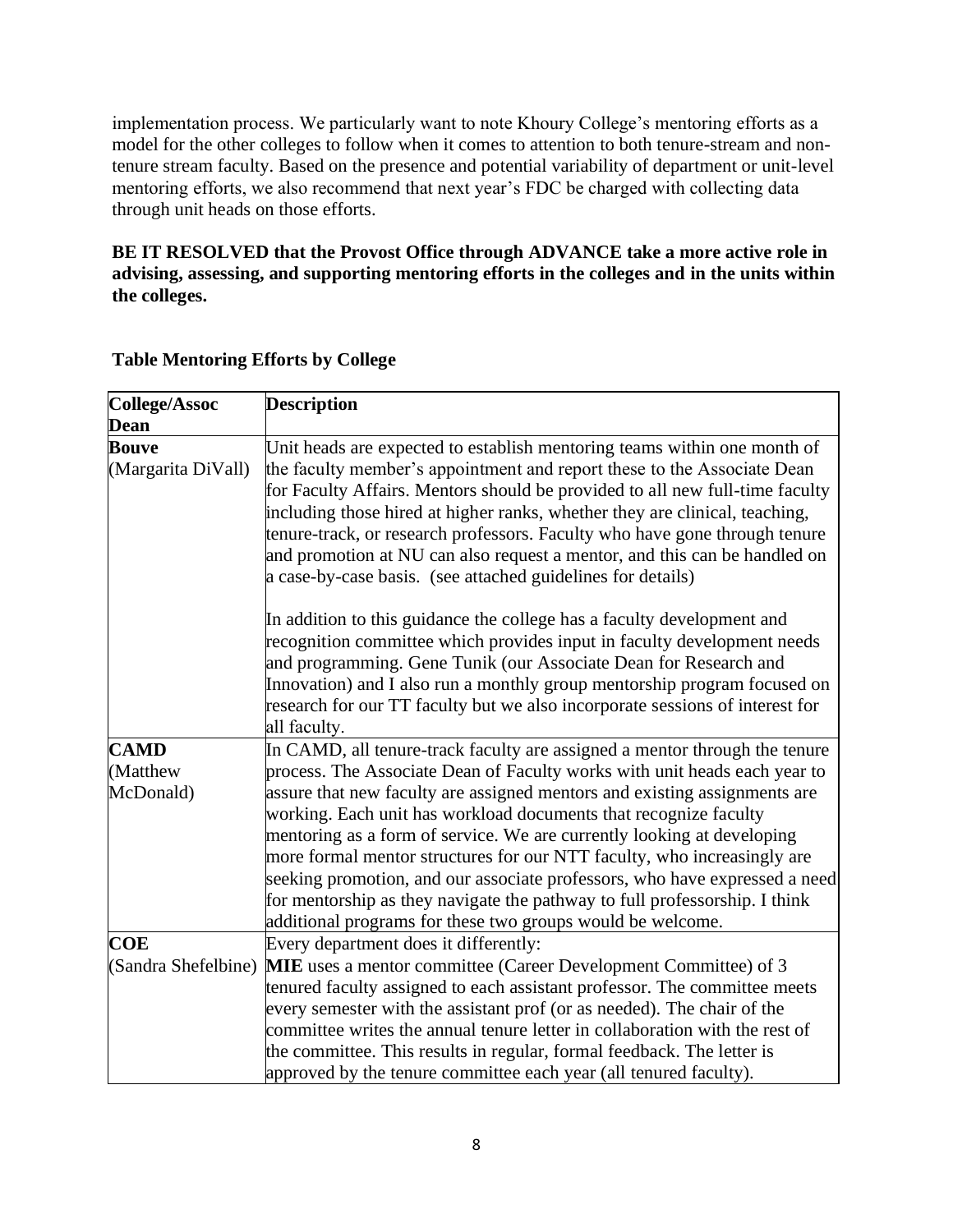implementation process. We particularly want to note Khoury College's mentoring efforts as a model for the other colleges to follow when it comes to attention to both tenure-stream and nontenure stream faculty. Based on the presence and potential variability of department or unit-level mentoring efforts, we also recommend that next year's FDC be charged with collecting data through unit heads on those efforts.

# **BE IT RESOLVED that the Provost Office through ADVANCE take a more active role in advising, assessing, and supporting mentoring efforts in the colleges and in the units within the colleges.**

| College/Assoc      | <b>Description</b>                                                                                                                                |
|--------------------|---------------------------------------------------------------------------------------------------------------------------------------------------|
| <b>Dean</b>        |                                                                                                                                                   |
| <b>Bouve</b>       | Unit heads are expected to establish mentoring teams within one month of                                                                          |
| (Margarita DiVall) | the faculty member's appointment and report these to the Associate Dean                                                                           |
|                    | for Faculty Affairs. Mentors should be provided to all new full-time faculty                                                                      |
|                    | including those hired at higher ranks, whether they are clinical, teaching,                                                                       |
|                    | tenure-track, or research professors. Faculty who have gone through tenure                                                                        |
|                    | and promotion at NU can also request a mentor, and this can be handled on                                                                         |
|                    | a case-by-case basis. (see attached guidelines for details)                                                                                       |
|                    | In addition to this guidance the college has a faculty development and                                                                            |
|                    | recognition committee which provides input in faculty development needs                                                                           |
|                    | and programming. Gene Tunik (our Associate Dean for Research and                                                                                  |
|                    | Innovation) and I also run a monthly group mentorship program focused on                                                                          |
|                    | research for our TT faculty but we also incorporate sessions of interest for                                                                      |
|                    | all faculty.                                                                                                                                      |
| <b>CAMD</b>        | In CAMD, all tenure-track faculty are assigned a mentor through the tenure                                                                        |
| (Matthew           | process. The Associate Dean of Faculty works with unit heads each year to                                                                         |
| McDonald)          | assure that new faculty are assigned mentors and existing assignments are                                                                         |
|                    | working. Each unit has workload documents that recognize faculty                                                                                  |
|                    | mentoring as a form of service. We are currently looking at developing<br>more formal mentor structures for our NTT faculty, who increasingly are |
|                    | seeking promotion, and our associate professors, who have expressed a need                                                                        |
|                    | for mentorship as they navigate the pathway to full professorship. I think                                                                        |
|                    | additional programs for these two groups would be welcome.                                                                                        |
| <b>COE</b>         | Every department does it differently:                                                                                                             |
|                    | (Sandra Shefelbine) MIE uses a mentor committee (Career Development Committee) of 3                                                               |
|                    | tenured faculty assigned to each assistant professor. The committee meets                                                                         |
|                    | every semester with the assistant prof (or as needed). The chair of the                                                                           |
|                    | committee writes the annual tenure letter in collaboration with the rest of                                                                       |
|                    | the committee. This results in regular, formal feedback. The letter is                                                                            |
|                    | approved by the tenure committee each year (all tenured faculty).                                                                                 |

#### **Table Mentoring Efforts by College**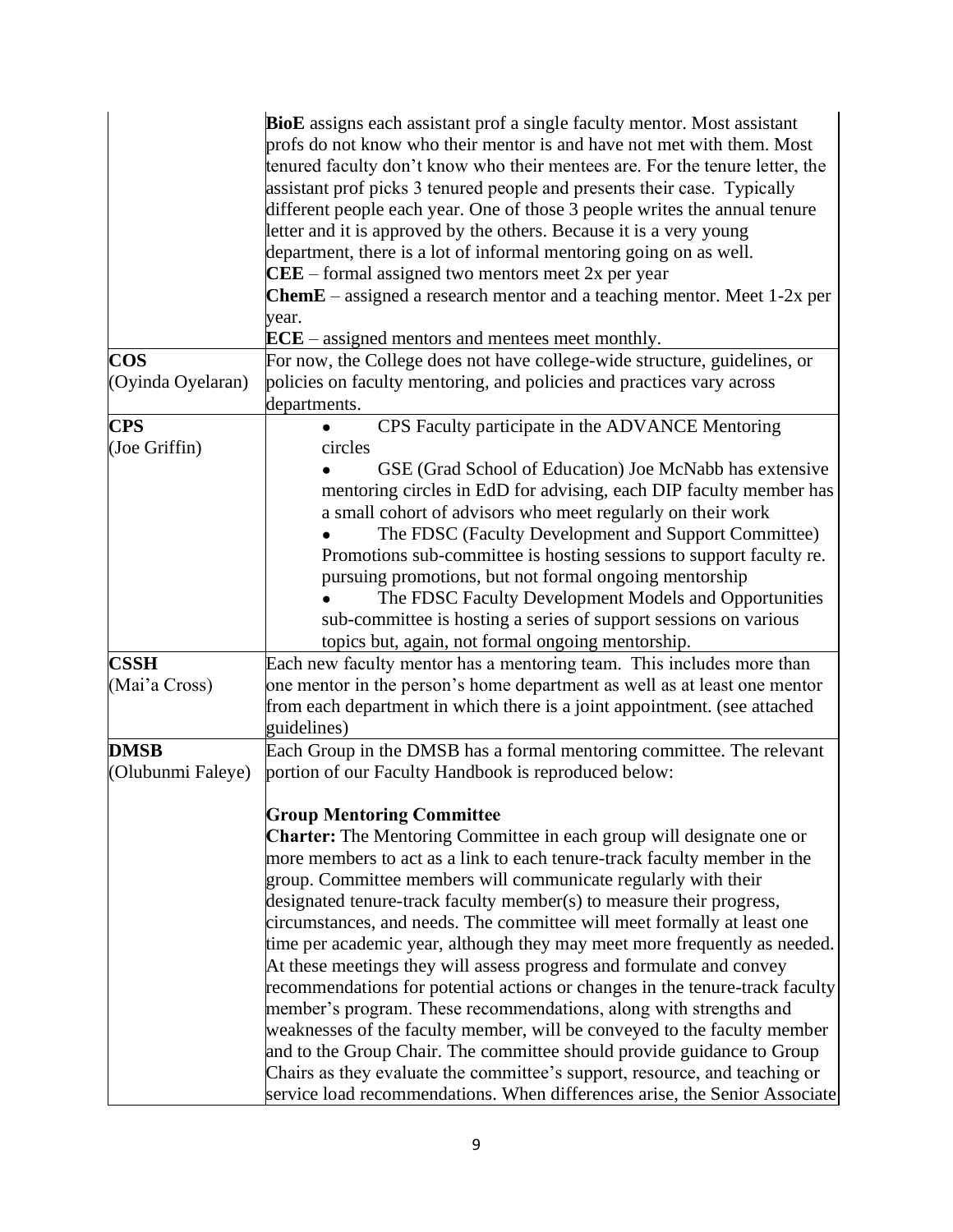|                   | <b>BioE</b> assigns each assistant prof a single faculty mentor. Most assistant  |
|-------------------|----------------------------------------------------------------------------------|
|                   | profs do not know who their mentor is and have not met with them. Most           |
|                   | tenured faculty don't know who their mentees are. For the tenure letter, the     |
|                   | assistant prof picks 3 tenured people and presents their case. Typically         |
|                   | different people each year. One of those 3 people writes the annual tenure       |
|                   |                                                                                  |
|                   | letter and it is approved by the others. Because it is a very young              |
|                   | department, there is a lot of informal mentoring going on as well.               |
|                   | $\bf CEE$ – formal assigned two mentors meet 2x per year                         |
|                   | <b>ChemE</b> – assigned a research mentor and a teaching mentor. Meet $1-2x$ per |
|                   | year.                                                                            |
|                   | $\textbf{ECE}$ – assigned mentors and mentees meet monthly.                      |
| <b>COS</b>        | For now, the College does not have college-wide structure, guidelines, or        |
| (Oyinda Oyelaran) | policies on faculty mentoring, and policies and practices vary across            |
|                   | departments.                                                                     |
| <b>CPS</b>        | CPS Faculty participate in the ADVANCE Mentoring                                 |
| (Joe Griffin)     | circles                                                                          |
|                   | GSE (Grad School of Education) Joe McNabb has extensive                          |
|                   | mentoring circles in EdD for advising, each DIP faculty member has               |
|                   | a small cohort of advisors who meet regularly on their work                      |
|                   | The FDSC (Faculty Development and Support Committee)                             |
|                   |                                                                                  |
|                   | Promotions sub-committee is hosting sessions to support faculty re.              |
|                   | pursuing promotions, but not formal ongoing mentorship                           |
|                   | The FDSC Faculty Development Models and Opportunities                            |
|                   | sub-committee is hosting a series of support sessions on various                 |
|                   | topics but, again, not formal ongoing mentorship.                                |
| <b>CSSH</b>       | Each new faculty mentor has a mentoring team. This includes more than            |
| (Mai'a Cross)     | one mentor in the person's home department as well as at least one mentor        |
|                   | from each department in which there is a joint appointment. (see attached        |
|                   | guidelines)                                                                      |
| <b>DMSB</b>       | Each Group in the DMSB has a formal mentoring committee. The relevant            |
| (Olubunmi Faleye) | portion of our Faculty Handbook is reproduced below:                             |
|                   |                                                                                  |
|                   | <b>Group Mentoring Committee</b>                                                 |
|                   | <b>Charter:</b> The Mentoring Committee in each group will designate one or      |
|                   | more members to act as a link to each tenure-track faculty member in the         |
|                   |                                                                                  |
|                   | group. Committee members will communicate regularly with their                   |
|                   | designated tenure-track faculty member(s) to measure their progress,             |
|                   | circumstances, and needs. The committee will meet formally at least one          |
|                   | time per academic year, although they may meet more frequently as needed.        |
|                   | At these meetings they will assess progress and formulate and convey             |
|                   | recommendations for potential actions or changes in the tenure-track faculty     |
|                   | member's program. These recommendations, along with strengths and                |
|                   | weaknesses of the faculty member, will be conveyed to the faculty member         |
|                   | and to the Group Chair. The committee should provide guidance to Group           |
|                   | Chairs as they evaluate the committee's support, resource, and teaching or       |
|                   | service load recommendations. When differences arise, the Senior Associate       |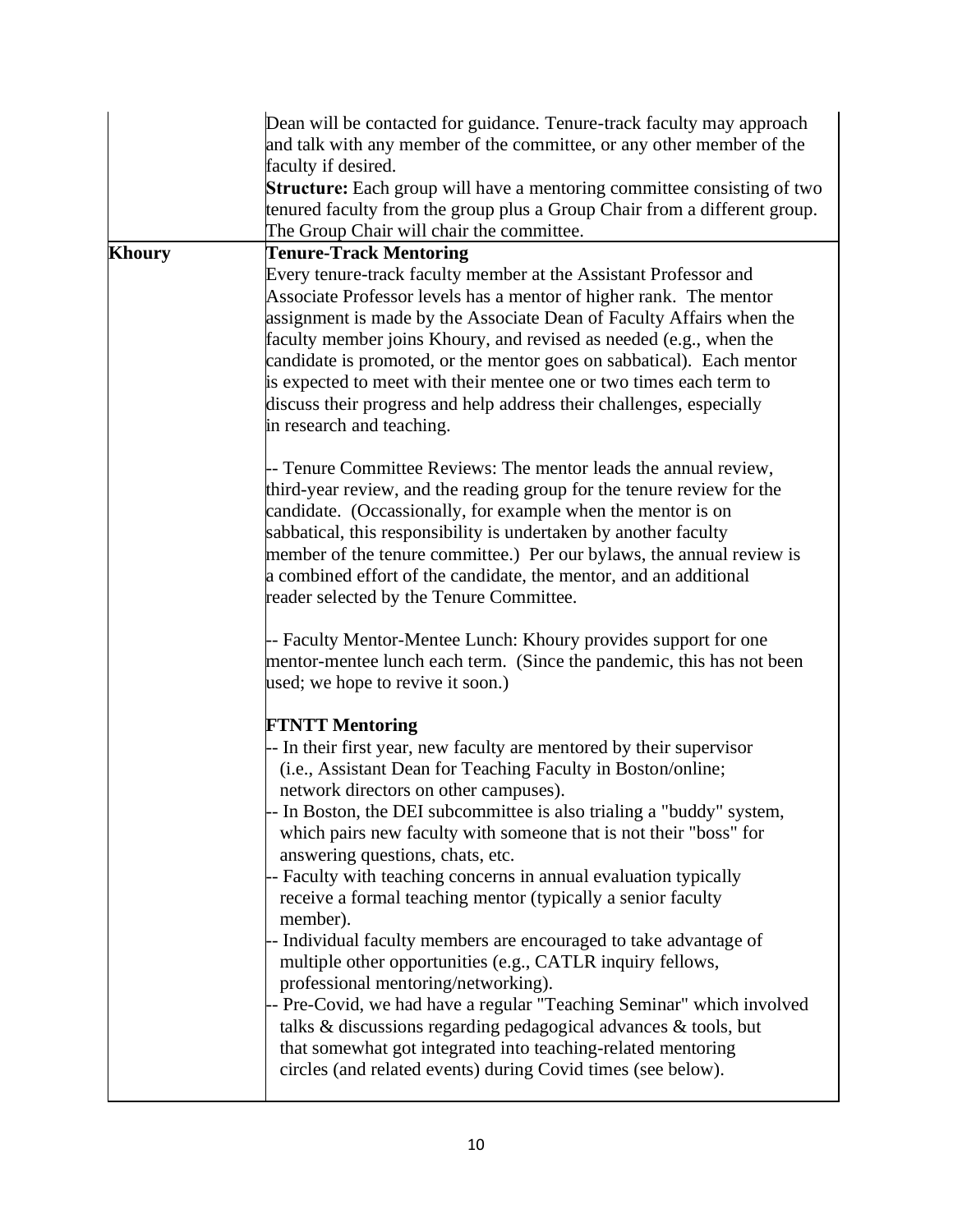|               | Dean will be contacted for guidance. Tenure-track faculty may approach<br>and talk with any member of the committee, or any other member of the<br>faculty if desired.                                                                                                                                                                                                                                                                                                                                                                                                                                                                                                                                                                                                                                                                                                                                                                                                                        |
|---------------|-----------------------------------------------------------------------------------------------------------------------------------------------------------------------------------------------------------------------------------------------------------------------------------------------------------------------------------------------------------------------------------------------------------------------------------------------------------------------------------------------------------------------------------------------------------------------------------------------------------------------------------------------------------------------------------------------------------------------------------------------------------------------------------------------------------------------------------------------------------------------------------------------------------------------------------------------------------------------------------------------|
|               | <b>Structure:</b> Each group will have a mentoring committee consisting of two<br>tenured faculty from the group plus a Group Chair from a different group.<br>The Group Chair will chair the committee.                                                                                                                                                                                                                                                                                                                                                                                                                                                                                                                                                                                                                                                                                                                                                                                      |
| <b>Khoury</b> | <b>Tenure-Track Mentoring</b><br>Every tenure-track faculty member at the Assistant Professor and<br>Associate Professor levels has a mentor of higher rank. The mentor<br>assignment is made by the Associate Dean of Faculty Affairs when the<br>faculty member joins Khoury, and revised as needed (e.g., when the<br>candidate is promoted, or the mentor goes on sabbatical). Each mentor<br>is expected to meet with their mentee one or two times each term to<br>discuss their progress and help address their challenges, especially<br>in research and teaching.                                                                                                                                                                                                                                                                                                                                                                                                                    |
|               | -- Tenure Committee Reviews: The mentor leads the annual review,<br>third-year review, and the reading group for the tenure review for the<br>candidate. (Occassionally, for example when the mentor is on<br>sabbatical, this responsibility is undertaken by another faculty<br>member of the tenure committee.) Per our bylaws, the annual review is<br>a combined effort of the candidate, the mentor, and an additional<br>reader selected by the Tenure Committee.                                                                                                                                                                                                                                                                                                                                                                                                                                                                                                                      |
|               | -- Faculty Mentor-Mentee Lunch: Khoury provides support for one<br>mentor-mentee lunch each term. (Since the pandemic, this has not been<br>used; we hope to revive it soon.)                                                                                                                                                                                                                                                                                                                                                                                                                                                                                                                                                                                                                                                                                                                                                                                                                 |
|               | <b>FTNTT Mentoring</b><br>-- In their first year, new faculty are mentored by their supervisor<br>(i.e., Assistant Dean for Teaching Faculty in Boston/online;<br>network directors on other campuses).<br>-- In Boston, the DEI subcommittee is also trialing a "buddy" system,<br>which pairs new faculty with someone that is not their "boss" for<br>answering questions, chats, etc.<br>-- Faculty with teaching concerns in annual evaluation typically<br>receive a formal teaching mentor (typically a senior faculty<br>member).<br>- Individual faculty members are encouraged to take advantage of<br>multiple other opportunities (e.g., CATLR inquiry fellows,<br>professional mentoring/networking).<br>- Pre-Covid, we had have a regular "Teaching Seminar" which involved<br>talks & discussions regarding pedagogical advances & tools, but<br>that somewhat got integrated into teaching-related mentoring<br>circles (and related events) during Covid times (see below). |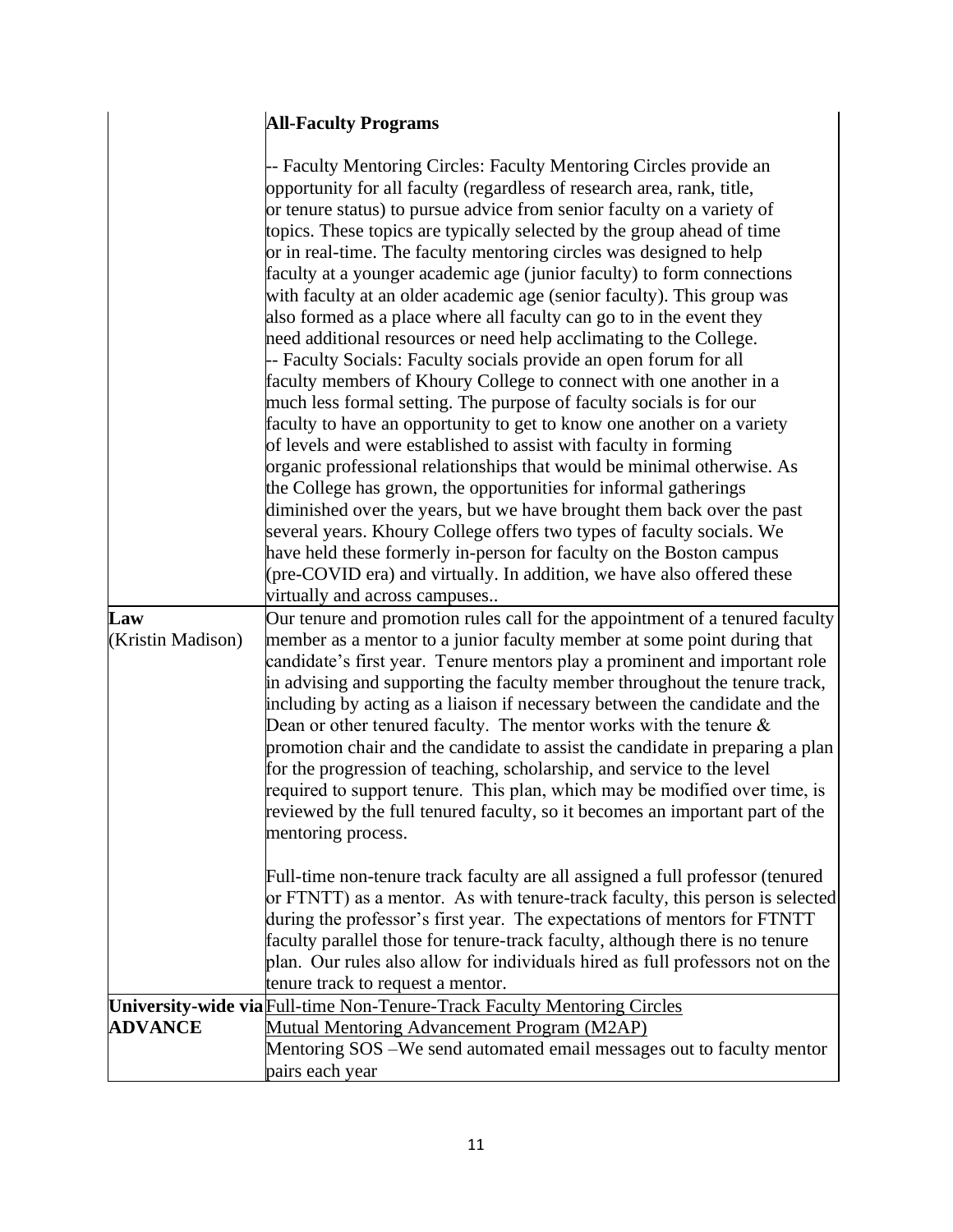# **All-Faculty Programs**

 $\overline{\phantom{a}}$  $\overline{\phantom{a}}$ 

| -- Faculty Mentoring Circles: Faculty Mentoring Circles provide an                                                                                                                                                                                                                                                                                                                                                                                                                                                                                                                                                                                                                                                                                                                                                                                                                                                                                                                                          |  |
|-------------------------------------------------------------------------------------------------------------------------------------------------------------------------------------------------------------------------------------------------------------------------------------------------------------------------------------------------------------------------------------------------------------------------------------------------------------------------------------------------------------------------------------------------------------------------------------------------------------------------------------------------------------------------------------------------------------------------------------------------------------------------------------------------------------------------------------------------------------------------------------------------------------------------------------------------------------------------------------------------------------|--|
| opportunity for all faculty (regardless of research area, rank, title,                                                                                                                                                                                                                                                                                                                                                                                                                                                                                                                                                                                                                                                                                                                                                                                                                                                                                                                                      |  |
| or tenure status) to pursue advice from senior faculty on a variety of                                                                                                                                                                                                                                                                                                                                                                                                                                                                                                                                                                                                                                                                                                                                                                                                                                                                                                                                      |  |
| topics. These topics are typically selected by the group ahead of time                                                                                                                                                                                                                                                                                                                                                                                                                                                                                                                                                                                                                                                                                                                                                                                                                                                                                                                                      |  |
| or in real-time. The faculty mentoring circles was designed to help                                                                                                                                                                                                                                                                                                                                                                                                                                                                                                                                                                                                                                                                                                                                                                                                                                                                                                                                         |  |
| faculty at a younger academic age (junior faculty) to form connections                                                                                                                                                                                                                                                                                                                                                                                                                                                                                                                                                                                                                                                                                                                                                                                                                                                                                                                                      |  |
|                                                                                                                                                                                                                                                                                                                                                                                                                                                                                                                                                                                                                                                                                                                                                                                                                                                                                                                                                                                                             |  |
| with faculty at an older academic age (senior faculty). This group was                                                                                                                                                                                                                                                                                                                                                                                                                                                                                                                                                                                                                                                                                                                                                                                                                                                                                                                                      |  |
| also formed as a place where all faculty can go to in the event they                                                                                                                                                                                                                                                                                                                                                                                                                                                                                                                                                                                                                                                                                                                                                                                                                                                                                                                                        |  |
| need additional resources or need help acclimating to the College.                                                                                                                                                                                                                                                                                                                                                                                                                                                                                                                                                                                                                                                                                                                                                                                                                                                                                                                                          |  |
| -- Faculty Socials: Faculty socials provide an open forum for all                                                                                                                                                                                                                                                                                                                                                                                                                                                                                                                                                                                                                                                                                                                                                                                                                                                                                                                                           |  |
| faculty members of Khoury College to connect with one another in a                                                                                                                                                                                                                                                                                                                                                                                                                                                                                                                                                                                                                                                                                                                                                                                                                                                                                                                                          |  |
| much less formal setting. The purpose of faculty socials is for our                                                                                                                                                                                                                                                                                                                                                                                                                                                                                                                                                                                                                                                                                                                                                                                                                                                                                                                                         |  |
| faculty to have an opportunity to get to know one another on a variety                                                                                                                                                                                                                                                                                                                                                                                                                                                                                                                                                                                                                                                                                                                                                                                                                                                                                                                                      |  |
| of levels and were established to assist with faculty in forming                                                                                                                                                                                                                                                                                                                                                                                                                                                                                                                                                                                                                                                                                                                                                                                                                                                                                                                                            |  |
| organic professional relationships that would be minimal otherwise. As                                                                                                                                                                                                                                                                                                                                                                                                                                                                                                                                                                                                                                                                                                                                                                                                                                                                                                                                      |  |
| the College has grown, the opportunities for informal gatherings                                                                                                                                                                                                                                                                                                                                                                                                                                                                                                                                                                                                                                                                                                                                                                                                                                                                                                                                            |  |
| diminished over the years, but we have brought them back over the past                                                                                                                                                                                                                                                                                                                                                                                                                                                                                                                                                                                                                                                                                                                                                                                                                                                                                                                                      |  |
| several years. Khoury College offers two types of faculty socials. We                                                                                                                                                                                                                                                                                                                                                                                                                                                                                                                                                                                                                                                                                                                                                                                                                                                                                                                                       |  |
| have held these formerly in-person for faculty on the Boston campus                                                                                                                                                                                                                                                                                                                                                                                                                                                                                                                                                                                                                                                                                                                                                                                                                                                                                                                                         |  |
| (pre-COVID era) and virtually. In addition, we have also offered these                                                                                                                                                                                                                                                                                                                                                                                                                                                                                                                                                                                                                                                                                                                                                                                                                                                                                                                                      |  |
| virtually and across campuses                                                                                                                                                                                                                                                                                                                                                                                                                                                                                                                                                                                                                                                                                                                                                                                                                                                                                                                                                                               |  |
| Our tenure and promotion rules call for the appointment of a tenured faculty<br>Law                                                                                                                                                                                                                                                                                                                                                                                                                                                                                                                                                                                                                                                                                                                                                                                                                                                                                                                         |  |
| member as a mentor to a junior faculty member at some point during that<br>(Kristin Madison)<br>candidate's first year. Tenure mentors play a prominent and important role<br>in advising and supporting the faculty member throughout the tenure track,<br>including by acting as a liaison if necessary between the candidate and the<br>Dean or other tenured faculty. The mentor works with the tenure $\&$<br>promotion chair and the candidate to assist the candidate in preparing a plan<br>for the progression of teaching, scholarship, and service to the level<br>required to support tenure. This plan, which may be modified over time, is<br>reviewed by the full tenured faculty, so it becomes an important part of the<br>mentoring process.<br>Full-time non-tenure track faculty are all assigned a full professor (tenured<br>or FTNTT) as a mentor. As with tenure-track faculty, this person is selected<br>during the professor's first year. The expectations of mentors for FTNTT |  |
| faculty parallel those for tenure-track faculty, although there is no tenure<br>plan. Our rules also allow for individuals hired as full professors not on the                                                                                                                                                                                                                                                                                                                                                                                                                                                                                                                                                                                                                                                                                                                                                                                                                                              |  |
| tenure track to request a mentor.                                                                                                                                                                                                                                                                                                                                                                                                                                                                                                                                                                                                                                                                                                                                                                                                                                                                                                                                                                           |  |
| University-wide via Full-time Non-Tenure-Track Faculty Mentoring Circles                                                                                                                                                                                                                                                                                                                                                                                                                                                                                                                                                                                                                                                                                                                                                                                                                                                                                                                                    |  |
| <b>ADVANCE</b><br><b>Mutual Mentoring Advancement Program (M2AP)</b>                                                                                                                                                                                                                                                                                                                                                                                                                                                                                                                                                                                                                                                                                                                                                                                                                                                                                                                                        |  |
| Mentoring SOS - We send automated email messages out to faculty mentor                                                                                                                                                                                                                                                                                                                                                                                                                                                                                                                                                                                                                                                                                                                                                                                                                                                                                                                                      |  |
| pairs each year                                                                                                                                                                                                                                                                                                                                                                                                                                                                                                                                                                                                                                                                                                                                                                                                                                                                                                                                                                                             |  |